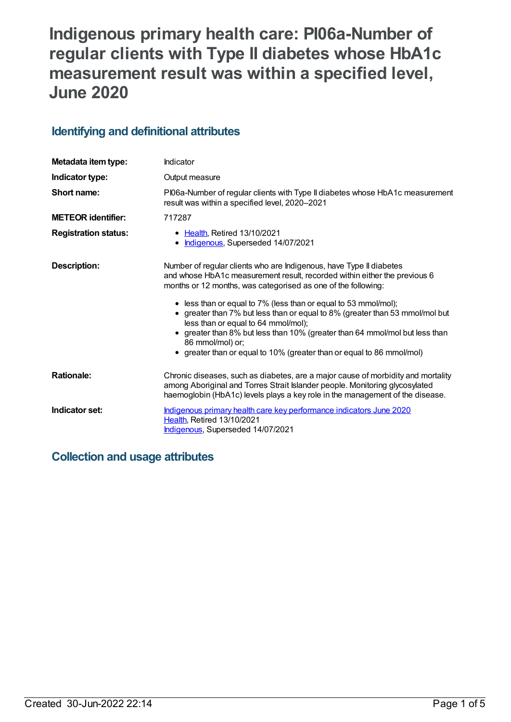# **Indigenous primary health care: PI06a-Number of regular clients with Type II diabetes whose HbA1c measurement result was within a specified level, June 2020**

## **Identifying and definitional attributes**

| Metadata item type:         | Indicator                                                                                                                                                                                                                                                                                                                                                                                                                                                                                                                                                                                          |  |
|-----------------------------|----------------------------------------------------------------------------------------------------------------------------------------------------------------------------------------------------------------------------------------------------------------------------------------------------------------------------------------------------------------------------------------------------------------------------------------------------------------------------------------------------------------------------------------------------------------------------------------------------|--|
| Indicator type:             | Output measure                                                                                                                                                                                                                                                                                                                                                                                                                                                                                                                                                                                     |  |
| Short name:                 | PI06a-Number of regular clients with Type II diabetes whose HbA1c measurement<br>result was within a specified level, 2020-2021                                                                                                                                                                                                                                                                                                                                                                                                                                                                    |  |
| <b>METEOR</b> identifier:   | 717287                                                                                                                                                                                                                                                                                                                                                                                                                                                                                                                                                                                             |  |
| <b>Registration status:</b> | • Health, Retired 13/10/2021<br>• Indigenous, Superseded 14/07/2021                                                                                                                                                                                                                                                                                                                                                                                                                                                                                                                                |  |
| <b>Description:</b>         | Number of regular clients who are Indigenous, have Type II diabetes<br>and whose HbA1c measurement result, recorded within either the previous 6<br>months or 12 months, was categorised as one of the following:<br>• less than or equal to 7% (less than or equal to 53 mmol/mol);<br>• greater than 7% but less than or equal to 8% (greater than 53 mmol/mol but<br>less than or equal to 64 mmol/mol);<br>greater than 8% but less than 10% (greater than 64 mmol/mol but less than<br>$\bullet$<br>86 mmol/mol) or;<br>• greater than or equal to 10% (greater than or equal to 86 mmol/mol) |  |
| <b>Rationale:</b>           | Chronic diseases, such as diabetes, are a major cause of morbidity and mortality<br>among Aboriginal and Torres Strait Islander people. Monitoring glycosylated<br>haemoglobin (HbA1c) levels plays a key role in the management of the disease.                                                                                                                                                                                                                                                                                                                                                   |  |
| Indicator set:              | Indigenous primary health care key performance indicators June 2020<br>Health, Retired 13/10/2021<br>Indigenous, Superseded 14/07/2021                                                                                                                                                                                                                                                                                                                                                                                                                                                             |  |

# **Collection and usage attributes**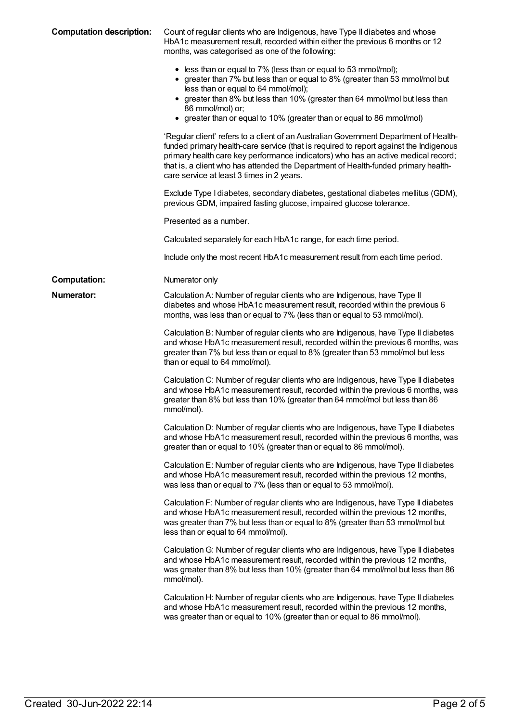| <b>Computation description:</b> | Count of regular clients who are Indigenous, have Type II diabetes and whose<br>HbA1c measurement result, recorded within either the previous 6 months or 12<br>months, was categorised as one of the following:                                                                                                                                                                                       |
|---------------------------------|--------------------------------------------------------------------------------------------------------------------------------------------------------------------------------------------------------------------------------------------------------------------------------------------------------------------------------------------------------------------------------------------------------|
|                                 | • less than or equal to 7% (less than or equal to 53 mmol/mol);<br>• greater than 7% but less than or equal to 8% (greater than 53 mmol/mol but<br>less than or equal to 64 mmol/mol);<br>• greater than 8% but less than 10% (greater than 64 mmol/mol but less than<br>86 mmol/mol) or;<br>• greater than or equal to 10% (greater than or equal to 86 mmol/mol)                                     |
|                                 | 'Regular client' refers to a client of an Australian Government Department of Health-<br>funded primary health-care service (that is required to report against the Indigenous<br>primary health care key performance indicators) who has an active medical record;<br>that is, a client who has attended the Department of Health-funded primary health-<br>care service at least 3 times in 2 years. |
|                                 | Exclude Type I diabetes, secondary diabetes, gestational diabetes mellitus (GDM),<br>previous GDM, impaired fasting glucose, impaired glucose tolerance.                                                                                                                                                                                                                                               |
|                                 | Presented as a number.                                                                                                                                                                                                                                                                                                                                                                                 |
|                                 | Calculated separately for each HbA1c range, for each time period.                                                                                                                                                                                                                                                                                                                                      |
|                                 | Include only the most recent HbA1c measurement result from each time period.                                                                                                                                                                                                                                                                                                                           |
| <b>Computation:</b>             | Numerator only                                                                                                                                                                                                                                                                                                                                                                                         |
| <b>Numerator:</b>               | Calculation A: Number of regular clients who are Indigenous, have Type II<br>diabetes and whose HbA1c measurement result, recorded within the previous 6<br>months, was less than or equal to 7% (less than or equal to 53 mmol/mol).                                                                                                                                                                  |
|                                 | Calculation B: Number of regular clients who are Indigenous, have Type II diabetes<br>and whose HbA1c measurement result, recorded within the previous 6 months, was<br>greater than 7% but less than or equal to 8% (greater than 53 mmol/mol but less<br>than or equal to 64 mmol/mol).                                                                                                              |
|                                 | Calculation C: Number of regular clients who are Indigenous, have Type II diabetes<br>and whose HbA1c measurement result, recorded within the previous 6 months, was<br>greater than 8% but less than 10% (greater than 64 mmol/mol but less than 86<br>mmol/mol).                                                                                                                                     |
|                                 | Calculation D: Number of regular clients who are Indigenous, have Type II diabetes<br>and whose HbA1c measurement result, recorded within the previous 6 months, was<br>greater than or equal to 10% (greater than or equal to 86 mmol/mol).                                                                                                                                                           |
|                                 | Calculation E: Number of regular clients who are Indigenous, have Type II diabetes<br>and whose HbA1c measurement result, recorded within the previous 12 months,<br>was less than or equal to 7% (less than or equal to 53 mmol/mol).                                                                                                                                                                 |
|                                 | Calculation F: Number of regular clients who are Indigenous, have Type II diabetes<br>and whose HbA1c measurement result, recorded within the previous 12 months,<br>was greater than 7% but less than or equal to 8% (greater than 53 mmol/mol but<br>less than or equal to 64 mmol/mol).                                                                                                             |
|                                 | Calculation G: Number of regular clients who are Indigenous, have Type II diabetes<br>and whose HbA1c measurement result, recorded within the previous 12 months,<br>was greater than 8% but less than 10% (greater than 64 mmol/mol but less than 86<br>mmol/mol).                                                                                                                                    |
|                                 | Calculation H: Number of regular clients who are Indigenous, have Type II diabetes<br>and whose HbA1c measurement result, recorded within the previous 12 months,<br>was greater than or equal to 10% (greater than or equal to 86 mmol/mol).                                                                                                                                                          |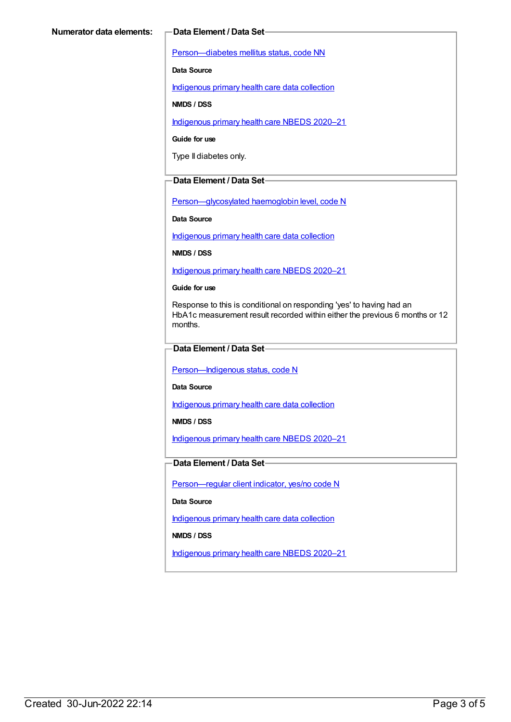[Person—diabetes](https://meteor.aihw.gov.au/content/270194) mellitus status, code NN

**Data Source**

[Indigenous](https://meteor.aihw.gov.au/content/430643) primary health care data collection

**NMDS / DSS**

[Indigenous](https://meteor.aihw.gov.au/content/715320) primary health care NBEDS 2020–21

**Guide for use**

Type II diabetes only.

#### **Data Element / Data Set**

[Person—glycosylated](https://meteor.aihw.gov.au/content/589601) haemoglobin level, code N

**Data Source**

[Indigenous](https://meteor.aihw.gov.au/content/430643) primary health care data collection

**NMDS / DSS**

[Indigenous](https://meteor.aihw.gov.au/content/715320) primary health care NBEDS 2020–21

**Guide for use**

Response to this is conditional on responding 'yes' to having had an HbA1c measurement result recorded within either the previous 6 months or 12 months.

### **Data Element / Data Set**

Person-Indigenous status, code N

**Data Source**

[Indigenous](https://meteor.aihw.gov.au/content/430643) primary health care data collection

**NMDS / DSS**

[Indigenous](https://meteor.aihw.gov.au/content/715320) primary health care NBEDS 2020–21

### **Data Element / Data Set**

[Person—regular](https://meteor.aihw.gov.au/content/686291) client indicator, yes/no code N

**Data Source**

[Indigenous](https://meteor.aihw.gov.au/content/430643) primary health care data collection

**NMDS / DSS**

[Indigenous](https://meteor.aihw.gov.au/content/715320) primary health care NBEDS 2020–21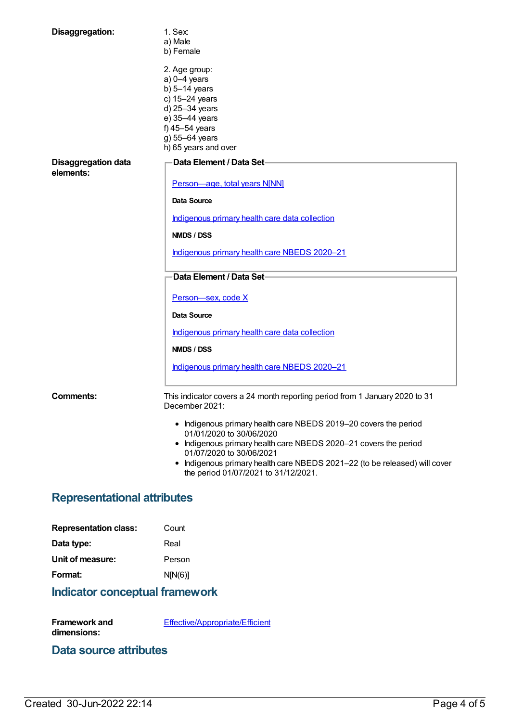| Disaggregation:                         | $1.$ Sex:<br>a) Male<br>b) Female                                                                                                                                    |  |
|-----------------------------------------|----------------------------------------------------------------------------------------------------------------------------------------------------------------------|--|
|                                         | 2. Age group:<br>$a)$ 0-4 years<br>b) $5-14$ years<br>c) 15-24 years<br>d) 25-34 years<br>e) 35-44 years<br>f) 45-54 years<br>g) 55-64 years<br>h) 65 years and over |  |
| <b>Disaggregation data</b><br>elements: | Data Element / Data Set-                                                                                                                                             |  |
|                                         | Person-age, total years N[NN]                                                                                                                                        |  |
|                                         | Data Source                                                                                                                                                          |  |
|                                         | Indigenous primary health care data collection                                                                                                                       |  |
|                                         | <b>NMDS / DSS</b>                                                                                                                                                    |  |
|                                         | Indigenous primary health care NBEDS 2020-21                                                                                                                         |  |
|                                         | Data Element / Data Set-                                                                                                                                             |  |
|                                         | Person-sex, code X                                                                                                                                                   |  |
|                                         | Data Source                                                                                                                                                          |  |
|                                         | Indigenous primary health care data collection                                                                                                                       |  |
|                                         | <b>NMDS / DSS</b>                                                                                                                                                    |  |
|                                         | Indigenous primary health care NBEDS 2020-21                                                                                                                         |  |
| <b>Comments:</b>                        | This indicator covers a 24 month reporting period from 1 January 2020 to 31<br>December 2021:                                                                        |  |
|                                         | • Indigenous primary health care NBEDS 2019-20 covers the period<br>01/01/2020 to 30/06/2020                                                                         |  |
|                                         | • Indigenous primary health care NBEDS 2020-21 covers the period<br>01/07/2020 to 30/06/2021                                                                         |  |
|                                         | • Indigenous primary health care NBEDS 2021-22 (to be released) will cover<br>the period 01/07/2021 to 31/12/2021.                                                   |  |
| <b>Representational attributes</b>      |                                                                                                                                                                      |  |
|                                         |                                                                                                                                                                      |  |

| Count   |
|---------|
| Real    |
| Person  |
| N[N(6)] |
|         |

# **Indicator conceptual framework**

**Framework and dimensions:** [Effective/Appropriate/Efficient](https://meteor.aihw.gov.au/content/410681)

## **Data source attributes**